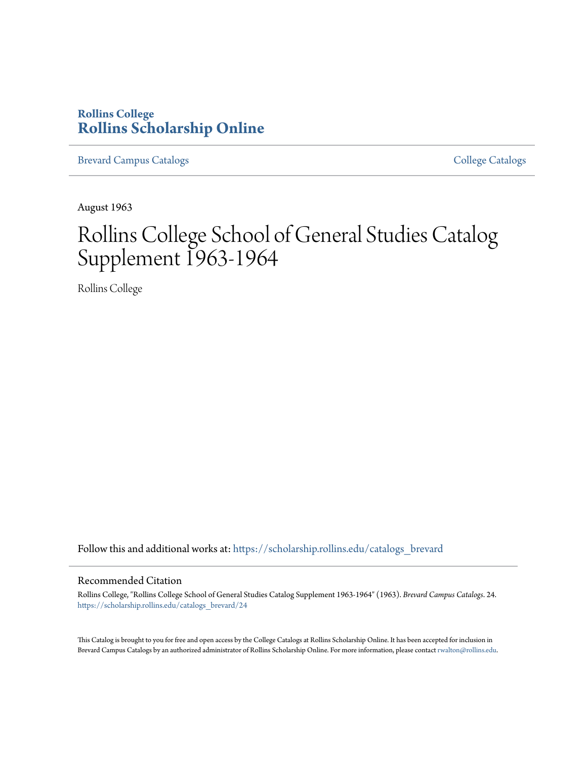# **Rollins College [Rollins Scholarship Online](https://scholarship.rollins.edu?utm_source=scholarship.rollins.edu%2Fcatalogs_brevard%2F24&utm_medium=PDF&utm_campaign=PDFCoverPages)**

[Brevard Campus Catalogs](https://scholarship.rollins.edu/catalogs_brevard?utm_source=scholarship.rollins.edu%2Fcatalogs_brevard%2F24&utm_medium=PDF&utm_campaign=PDFCoverPages) **[College Catalogs](https://scholarship.rollins.edu/catalogs?utm_source=scholarship.rollins.edu%2Fcatalogs_brevard%2F24&utm_medium=PDF&utm_campaign=PDFCoverPages)** College Catalogs **College Catalogs** 

August 1963

# Rollins College School of General Studies Catalog Supplement 1963-1964

Rollins College

Follow this and additional works at: [https://scholarship.rollins.edu/catalogs\\_brevard](https://scholarship.rollins.edu/catalogs_brevard?utm_source=scholarship.rollins.edu%2Fcatalogs_brevard%2F24&utm_medium=PDF&utm_campaign=PDFCoverPages)

# Recommended Citation

Rollins College, "Rollins College School of General Studies Catalog Supplement 1963-1964" (1963). *Brevard Campus Catalogs*. 24. [https://scholarship.rollins.edu/catalogs\\_brevard/24](https://scholarship.rollins.edu/catalogs_brevard/24?utm_source=scholarship.rollins.edu%2Fcatalogs_brevard%2F24&utm_medium=PDF&utm_campaign=PDFCoverPages)

This Catalog is brought to you for free and open access by the College Catalogs at Rollins Scholarship Online. It has been accepted for inclusion in Brevard Campus Catalogs by an authorized administrator of Rollins Scholarship Online. For more information, please contact [rwalton@rollins.edu.](mailto:rwalton@rollins.edu)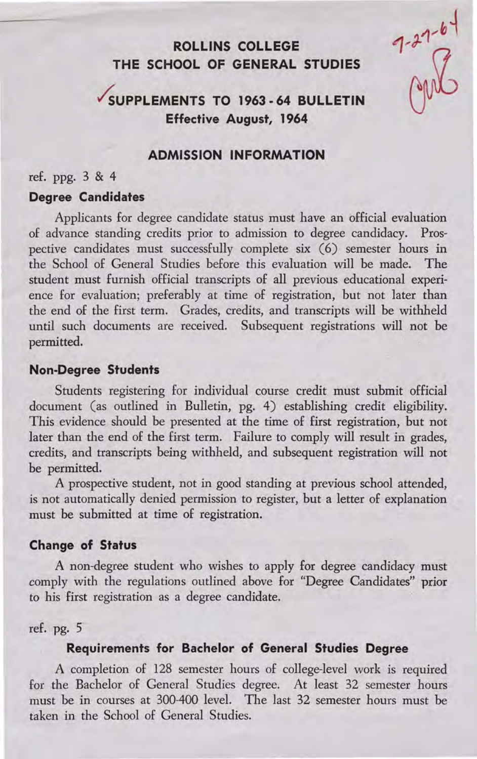# **ROLLINS COLLEGE THE SCHOOL OF GENERAL STUDIES**

 $7 - 27 - 64$ 

# **/suPPLEMENTS TO 1963 • 64 BULLETIN Effective August, 1964**

# **ADMISSION INFORMATION**

# ref. ppg. 3 & 4

#### **Degree Candidates**

Applicants for degree candidate status must have an official evaluation of advance standing credits prior to admission to degree candidacy. Prospective candidates must successfully complete six (6) semester hours in the School of General Studies before this evaluation will be made. The student must furnish official transcripts of all previous educational experience for evaluation; preferably at time of registration, but not later than the end of the first term. Grades, credits, and transcripts will be withheld until such documents are received. Subsequent registrations will not be permitted.

#### **Non-Degree Students**

Students registering for individual course credit must submit official document (as outlined in Bulletin, pg. 4) establishing credit eligibility. This evidence should be presented at the time of first registration, but not later than the end of the first term. Failure to comply will result in grades, credits, and transcripts being withheld, and subsequent registration will not be permitted.

A prospective student, not in good standing at previous school attended, is not automatically denied permission to register, but a letter of explanation must be submitted at time of registration.

### **Change of Status**

A non-degree student who wishes to apply for degree candidacy must comply with the regulations outlined above for "Degree Candidates" prior to his first registration as a degree candidate.

## ref. pg. 5

## **Requirements for Bachelor of General Studies Degree**

A completion of 128 semester hours of college-level work is required for the Bachelor of General Studies degree. At least 32 semester hours must be in courses at 300-400 level. The last 32 semester hours must be taken in the School of General Studies.